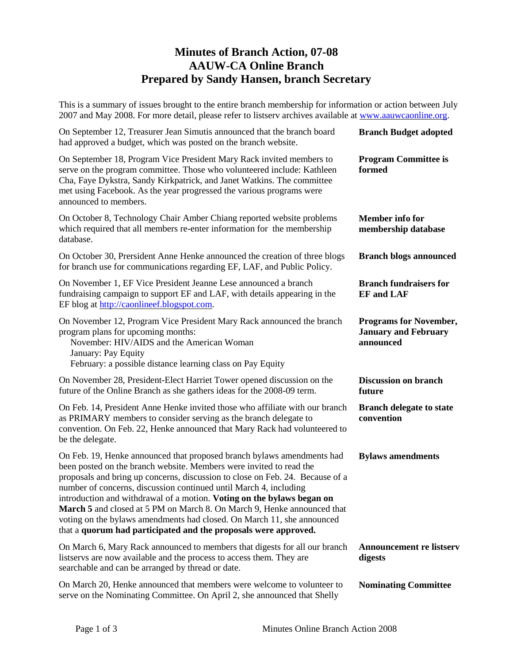## **Minutes of Branch Action, 07-08 AAUW-CA Online Branch Prepared by Sandy Hansen, branch Secretary**

This is a summary of issues brought to the entire branch membership for information or action between July 2007 and May 2008. For more detail, please refer to listserv archives available at [www.aauwcaonline.org.](http://www.aauwcaonline.org/)

| On September 12, Treasurer Jean Simutis announced that the branch board<br>had approved a budget, which was posted on the branch website.                                                                                                                                                                                                                                                                                                                                                                                                                                                             | <b>Branch Budget adopted</b>                                              |
|-------------------------------------------------------------------------------------------------------------------------------------------------------------------------------------------------------------------------------------------------------------------------------------------------------------------------------------------------------------------------------------------------------------------------------------------------------------------------------------------------------------------------------------------------------------------------------------------------------|---------------------------------------------------------------------------|
| On September 18, Program Vice President Mary Rack invited members to<br>serve on the program committee. Those who volunteered include: Kathleen<br>Cha, Faye Dykstra, Sandy Kirkpatrick, and Janet Watkins. The committee<br>met using Facebook. As the year progressed the various programs were<br>announced to members.                                                                                                                                                                                                                                                                            | <b>Program Committee is</b><br>formed                                     |
| On October 8, Technology Chair Amber Chiang reported website problems<br>which required that all members re-enter information for the membership<br>database.                                                                                                                                                                                                                                                                                                                                                                                                                                         | <b>Member</b> info for<br>membership database                             |
| On October 30, Prersident Anne Henke announced the creation of three blogs<br>for branch use for communications regarding EF, LAF, and Public Policy.                                                                                                                                                                                                                                                                                                                                                                                                                                                 | <b>Branch blogs announced</b>                                             |
| On November 1, EF Vice President Jeanne Lese announced a branch<br>fundraising campaign to support EF and LAF, with details appearing in the<br>EF blog at http://caonlineef.blogspot.com.                                                                                                                                                                                                                                                                                                                                                                                                            | <b>Branch fundraisers for</b><br><b>EF</b> and LAF                        |
| On November 12, Program Vice President Mary Rack announced the branch<br>program plans for upcoming months:<br>November: HIV/AIDS and the American Woman<br>January: Pay Equity<br>February: a possible distance learning class on Pay Equity                                                                                                                                                                                                                                                                                                                                                         | <b>Programs for November,</b><br><b>January and February</b><br>announced |
| On November 28, President-Elect Harriet Tower opened discussion on the<br>future of the Online Branch as she gathers ideas for the 2008-09 term.                                                                                                                                                                                                                                                                                                                                                                                                                                                      | <b>Discussion on branch</b><br>future                                     |
| On Feb. 14, President Anne Henke invited those who affiliate with our branch<br>as PRIMARY members to consider serving as the branch delegate to<br>convention. On Feb. 22, Henke announced that Mary Rack had volunteered to<br>be the delegate.                                                                                                                                                                                                                                                                                                                                                     | <b>Branch delegate to state</b><br>convention                             |
| On Feb. 19, Henke announced that proposed branch bylaws amendments had<br>been posted on the branch website. Members were invited to read the<br>proposals and bring up concerns, discussion to close on Feb. 24. Because of a<br>number of concerns, discussion continued until March 4, including<br>introduction and withdrawal of a motion. Voting on the bylaws began on<br>March 5 and closed at 5 PM on March 8. On March 9, Henke announced that<br>voting on the bylaws amendments had closed. On March 11, she announced<br>that a quorum had participated and the proposals were approved. | <b>Bylaws</b> amendments                                                  |
| On March 6, Mary Rack announced to members that digests for all our branch<br>listservs are now available and the process to access them. They are<br>searchable and can be arranged by thread or date.                                                                                                                                                                                                                                                                                                                                                                                               | <b>Announcement re listserv</b><br>digests                                |
| On March 20, Henke announced that members were welcome to volunteer to<br>serve on the Nominating Committee. On April 2, she announced that Shelly                                                                                                                                                                                                                                                                                                                                                                                                                                                    | <b>Nominating Committee</b>                                               |